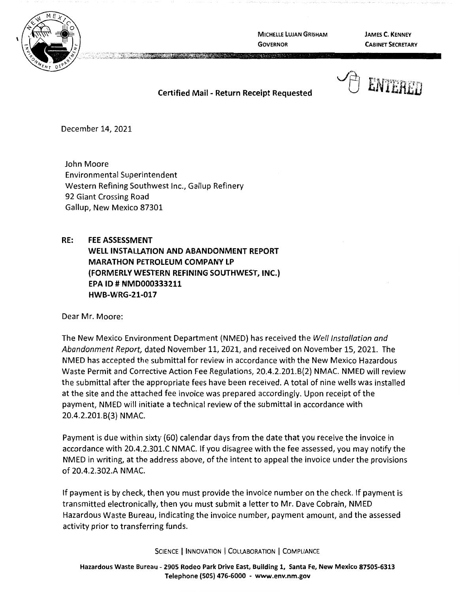

**MICHELLE LUJAN GRISHAM GOVERNOR** 

**JAMES C. KENNEY CABINET SECRETARY** 

## ENTERRT

**Certified Mail** - **Return Receipt Requested** 

December 14, 2021

John Moore Environmental Superintendent Western Refining Southwest Inc., Gallup Refinery 92 Giant Crossing Road Gallup, New Mexico 87301

## **RE: FEE ASSESSMENT**

**WELL INSTALLATION AND ABANDONMENT REPORT MARATHON PETROLEUM COMPANY LP (FORMERLY WESTERN REFINING SOUTHWEST, INC.) EPA** ID# **NMD000333211 HWB-WRG-21-017** 

Dear Mr. Moore:

The New Mexico Environment Department (NMED) has received the Well Installation and Abandonment Report, dated November 11, 2021, and received on November 15, 2021. The NMED has accepted the submittal for review in accordance with the New Mexico Hazardous Waste Permit and Corrective Action Fee Regulations, 20.4.2.201.8(2) NMAC. NMED will review the submittal after the appropriate fees have been received. A total of nine wells was installed at the site and the attached fee invoice was prepared accordingly. Upon receipt of the payment, NMED will initiate a technical review ofthe submittal in accordance with 20.4.2.201.8{3) NMAC.

Payment is due within sixty {60) calendar days from the date that you receive the invoice in accordance with 20.4.2.301.C NMAC. If you disagree with the fee assessed, you may notify the NMED in writing, at the address above, of the intent to appeal the invoice under the provisions of 20.4.2.302.A NMAC.

If payment is by check, then you must provide the invoice number on the check. If payment is transmitted electronically, then you must submit a letter to Mr. Dave Cobrain, NMED Hazardous Waste Bureau, indicating the invoice number, payment amount, and the assessed activity prior to transferring funds.

SCIENCE | INNOVATION | COLLABORATION | COMPLIANCE

**Hazardous Waste Bureau** - **2905 Rodeo Park Drive East, Building 1, Santa Fe, New Mexico 87505-6313 Telephone (505) 476-6000** - **www.env.nm.gov**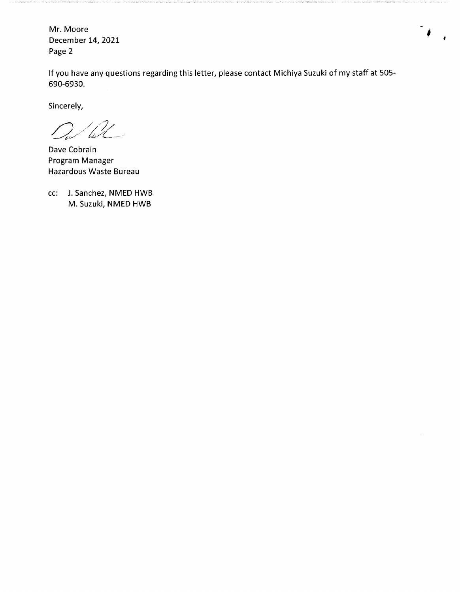Mr. Moore December 14, 2021 Page 2

If you have any questions regarding this letter, please contact Michiya Suzuki of my staff at 505- 690-6930.

Sincerely,

 $\mathbb{Z}$ 

Dave Cobrain Program Manager Hazardous Waste Bureau

cc: J. Sanchez, NMED HWB M. Suzuki, NMED HWB

 $\epsilon$